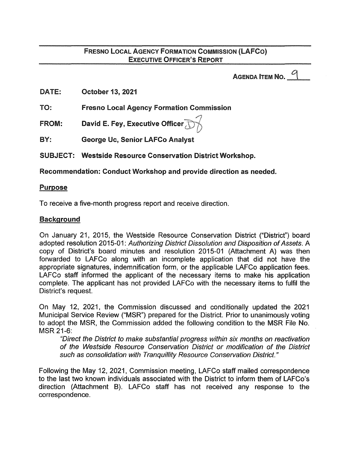# FRESNO LOCAL AGENCY FORMATION COMMISSION (LAFCO) EXECUTIVE OFFICER'S REPORT

AGENDA ITEM NO.  $\degree$ 

DATE: October 13, 2021

TO: Fresno Local Agency Formation Commission

FROM: */}*  David E. Fey, Executive Officer

BY: George Uc, Senior LAFCo Analyst

SUBJECT: Westside Resource Conservation District Workshop.

Recommendation: Conduct Workshop and provide direction as needed.

### Purpose

To receive a five-month progress report and receive direction.

# Background

On January 21, 2015, the Westside Resource Conservation District ("District") board adopted resolution 2015-01: Authorizing District Dissolution and Disposition of Assets. A copy of District's board minutes and resolution 2015-01 (Attachment A) was then forwarded to LAFCo along with an incomplete application that did not have the appropriate signatures, indemnification form, or the applicable LAFCo application fees. LAFCo staff informed the applicant of the necessary items to make his application complete. The applicant has not provided LAFCo with the necessary items to fulfil the District's request.

On May 12, 2021, the Commission discussed and conditionally updated the 2021 Municipal Service Review ("MSR") prepared for the District. Prior to unanimously voting to adopt the MSR, the Commission added the following condition to the MSR File No. MSR 21-6:

"Direct the District to make substantial progress within six months on reactivation of the Westside Resource Conservation District or modification of the District such as consolidation with Tranquillity Resource Conservation District."

Following the May 12, 2021, Commission meeting, LAFCo staff mailed correspondence to the last two known individuals associated with the District to inform them of LAFCo's direction (Attachment B). LAFCo staff has not received any response to the correspondence.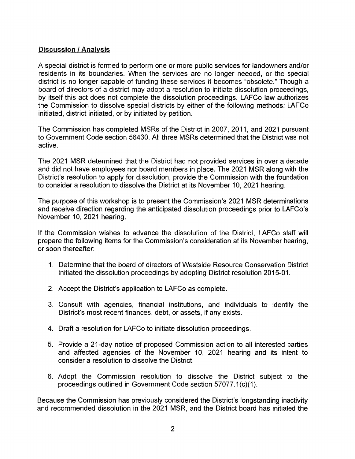# Discussion I Analysis

A special district is formed to perform one or more public services for landowners and/or residents in its boundaries. When the services are no longer needed, or the special district is no longer capable of funding these services it becomes "obsolete." Though a board of directors of a district may adopt a resolution to initiate dissolution proceedings, by itself this act does not complete the dissolution proceedings. LAFCo law authorizes the Commission to dissolve special districts by either of the following methods: LAFCo initiated, district initiated, or by initiated by petition.

The Commission has completed MSRs of the District in 2007, 2011, and 2021 pursuant to Government Code section 56430. All three MSRs determined that the District was not active.

The 2021 MSR determined that the District had not provided services in over a decade and did not have employees nor board members in place. The 2021 MSR along with the District's resolution to apply for dissolution, provide the Commission with the foundation to consider a resolution to dissolve the District at its November 10, 2021 hearing.

The purpose of this workshop is to present the Commission's 2021 MSR determinations and receive direction regarding the anticipated dissolution proceedings prior to LAFCo's November 10, 2021 hearing.

If the Commission wishes to advance the dissolution of the District, LAFCo staff will prepare the following items for the Commission's consideration at its November hearing, or soon thereafter:

- 1. Determine that the board of directors of Westside Resource Conservation District initiated the dissolution proceedings by adopting District resolution 2015-01.
- 2. Accept the District's application to LAFCo as complete.
- 3. Consult with agencies, financial institutions, and individuals to identify the District's most recent finances, debt, or assets, if any exists.
- 4. Draft a resolution for LAFCo to initiate dissolution proceedings.
- 5. Provide a 21-day notice of proposed Commission action to all interested parties and affected agencies of the November 10, 2021 hearing and its intent to consider a resolution to dissolve the District.
- 6. Adopt the Commission resolution to dissolve the District subject to the proceedings outlined in Government Code section 57077.1(c)(1).

Because the Commission has previously considered the District's longstanding inactivity and recommended dissolution in the 2021 MSR, and the District board has initiated the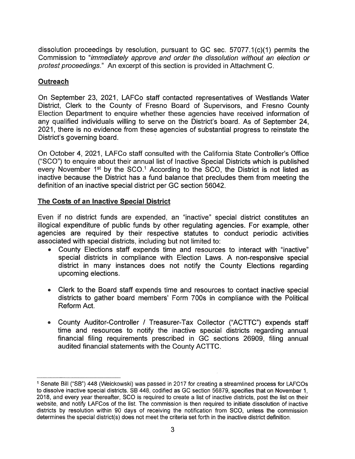dissolution proceedings by resolution, pursuant to GC sec. 57077.1 (c)(1) permits the Commission to "immediately approve and order the dissolution without an election or protest proceedings." An excerpt of this section is provided in Attachment C.

### **Outreach**

On September 23, 2021, LAFCo staff contacted representatives of Westlands Water District, Clerk to the County of Fresno Board of Supervisors, and Fresno County Election Department to enquire whether these agencies have received information of any qualified individuals willing to serve on the District's board. As of September 24, 2021, there is no evidence from these agencies of substantial progress to reinstate the District's governing board.

On October 4, 2021, LAFCo staff consulted with the California State Controller's Office ("SCO") to enquire about their annual list of Inactive Special Districts which is published every November  $1<sup>st</sup>$  by the SCO.<sup>1</sup> According to the SCO, the District is not listed as inactive because the District has a fund balance that precludes them from meeting the definition of an inactive special district per GC section 56042.

#### The Costs of an Inactive Special District

Even if no district funds are expended, an "inactive" special district constitutes an illogical expenditure of public funds by other regulating agencies. For example, other agencies are required by their respective statutes to conduct periodic activities associated with special districts, including but not limited to:

- County Elections staff expends time and resources to interact with "inactive" special districts in compliance with Election Laws. A non-responsive special district in many instances does not notify the County Elections regarding upcoming elections.
- Clerk to the Board staff expends time and resources to contact inactive special districts to gather board members' Form 700s in compliance with the Political Reform Act.
- County Auditor-Controller I Treasurer-Tax Collector ("ACTTC") expends staff time and resources to notify the inactive special districts regarding annual financial filing requirements prescribed in GC sections 26909, filing annual audited financial statements with the County ACTTC.

<sup>1</sup>Senate Bill ("SB") 448 (Weickowski) was passed in 2017 for creating a streamlined process for LAFCOs to dissolve inactive special districts. SB 448, codified as GC section 56879, specifies that on November 1, 2018, and every year thereafter, SCO is required to create a list of inactive districts, post the list on their website, and notify LAFCos of the list. The commission is then required to initiate dissolution of inactive districts by resolution within 90 days of receiving the notification from SCO, unless the commission determines the special district(s) does not meet the criteria set forth in the inactive district definition.